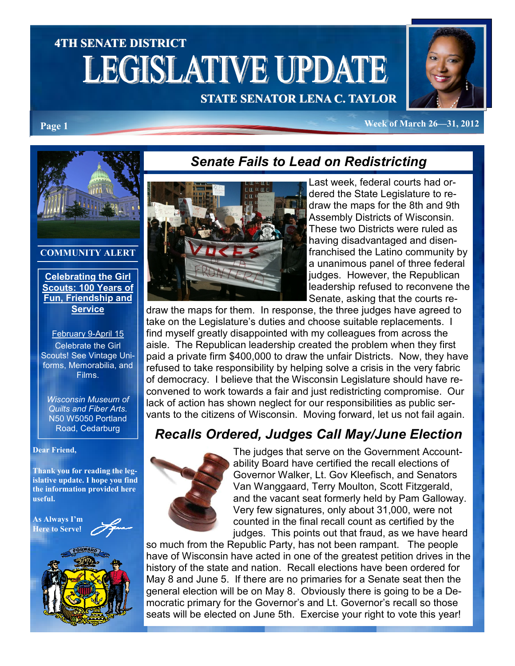# 4TH SENATE DISTRICT **LEGISLATIVE UPDATE**

## STATE SENATOR LENA C. TAYLOR

Senate Fails to Lead on Redistricting



Page 1 Week of March 26—31, 2012



#### COMMUNITY ALERT

Celebrating the Girl Scouts: 100 Years of Fun, Friendship and **Service** 

February 9-April 15 Celebrate the Girl Scouts! See Vintage Uniforms, Memorabilia, and Films.

Wisconsin Museum of Quilts and Fiber Arts. N50 W5050 Portland Road, Cedarburg

Dear Friend,

Thank you for reading the legislative update. I hope you find the information provided here useful.

As Always I'm Here to Serve!





Last week, federal courts had ordered the State Legislature to redraw the maps for the 8th and 9th Assembly Districts of Wisconsin. These two Districts were ruled as having disadvantaged and disenfranchised the Latino community by a unanimous panel of three federal judges. However, the Republican leadership refused to reconvene the Senate, asking that the courts re-

draw the maps for them. In response, the three judges have agreed to take on the Legislature's duties and choose suitable replacements. I find myself greatly disappointed with my colleagues from across the aisle. The Republican leadership created the problem when they first paid a private firm \$400,000 to draw the unfair Districts. Now, they have refused to take responsibility by helping solve a crisis in the very fabric of democracy. I believe that the Wisconsin Legislature should have reconvened to work towards a fair and just redistricting compromise. Our lack of action has shown neglect for our responsibilities as public servants to the citizens of Wisconsin. Moving forward, let us not fail again.

# Recalls Ordered, Judges Call May/June Election



The judges that serve on the Government Accountability Board have certified the recall elections of Governor Walker, Lt. Gov Kleefisch, and Senators Van Wanggaard, Terry Moulton, Scott Fitzgerald, and the vacant seat formerly held by Pam Galloway. Very few signatures, only about 31,000, were not counted in the final recall count as certified by the judges. This points out that fraud, as we have heard

so much from the Republic Party, has not been rampant. The people have of Wisconsin have acted in one of the greatest petition drives in the history of the state and nation. Recall elections have been ordered for May 8 and June 5. If there are no primaries for a Senate seat then the general election will be on May 8. Obviously there is going to be a Democratic primary for the Governor's and Lt. Governor's recall so those seats will be elected on June 5th. Exercise your right to vote this year!